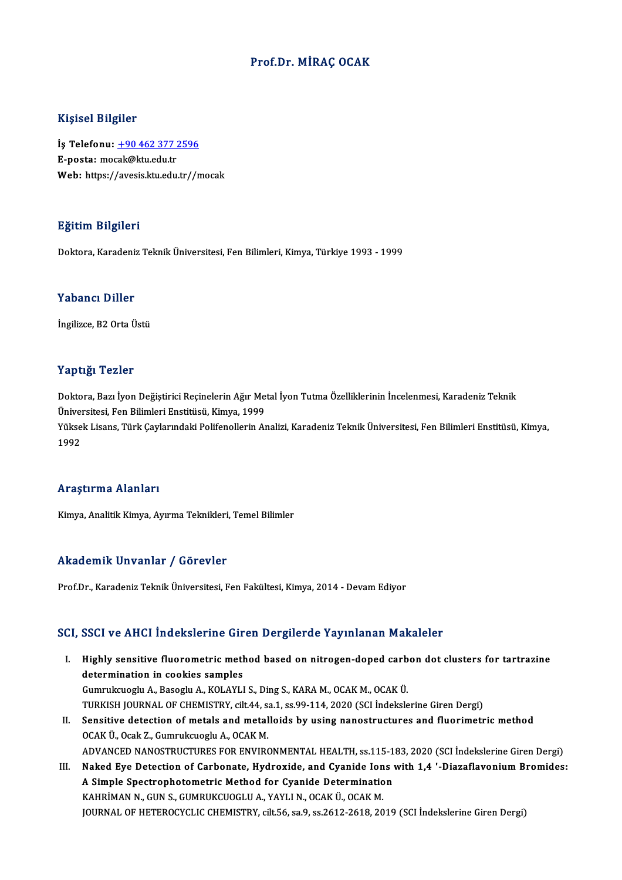### Prof.Dr.MİRAÇ OCAK

#### Kişisel Bilgiler

Kişisel Bilgiler<br>İş Telefonu: <u>+90 462 377 2596</u><br>E nosta: masək@ku edu tr 11191001 Dirgitor<br>İş Telefonu: <u>+90 462 377 ;</u><br>E-posta: mo[cak@ktu.edu.tr](tel:+90 462 377 2596) E-posta: mocak@ktu.edu.tr<br>Web: https://avesis.ktu.edu.tr//mocak

### Eğitim Bilgileri

Doktora,KaradenizTeknikÜniversitesi,FenBilimleri,Kimya,Türkiye 1993 -1999

#### Yabancı Diller

İngilizce, B2 Orta Üstü

### Yaptığı Tezler

Yaptığı Tezler<br>Doktora, Bazı İyon Değiştirici Reçinelerin Ağır Metal İyon Tutma Özelliklerinin İncelenmesi, Karadeniz Teknik<br>Üniversitesi, Fan Bilimleri Enstitüsü, Kimya 1999 1 up 15.<br>Doktora, Bazı İyon Değiştirici Reçinelerin Ağır Me<br>Üniversitesi, Fen Bilimleri Enstitüsü, Kimya, 1999<br>Yüksek Lisans, Türk Caylarındaki Belifonellerin Aı Doktora, Bazı İyon Değiştirici Reçinelerin Ağır Metal İyon Tutma Özelliklerinin İncelenmesi, Karadeniz Teknik<br>Üniversitesi, Fen Bilimleri Enstitüsü, Kimya, 1999<br>Yüksek Lisans, Türk Çaylarındaki Polifenollerin Analizi, Kara Üniveı<br>Yükse<br>1992

# Araştırma Alanları

Kimya, Analitik Kimya, Ayırma Teknikleri, Temel Bilimler

### Akademik Unvanlar / Görevler

Prof.Dr., Karadeniz Teknik Üniversitesi, Fen Fakültesi, Kimya, 2014 - Devam Ediyor

### SCI, SSCI ve AHCI İndekslerine Giren Dergilerde Yayınlanan Makaleler

- CI, SSCI ve AHCI İndekslerine Giren Dergilerde Yayınlanan Makaleler<br>I. Highly sensitive fluorometric method based on nitrogen-doped carbon dot clusters for tartrazine<br>determination in cookies semples determination in conducting and<br>determination in cookies samples<br>Cumpulsuesly A. Besesly A. KOLAVI Highly sensitive fluorometric method based on nitrogen-doped carb<br>determination in cookies samples<br>Gumrukcuoglu A., Basoglu A., KOLAYLI S., Ding S., KARA M., OCAK M., OCAK Ü.<br>TURKISH JOURNAL OF CHEMISTRY sit 44 se 1 se 99. determination in cookies samples<br>Gumrukcuoglu A., Basoglu A., KOLAYLI S., Ding S., KARA M., OCAK M., OCAK Ü.<br>TURKISH JOURNAL OF CHEMISTRY, cilt.44, sa.1, ss.99-114, 2020 (SCI İndekslerine Giren Dergi)<br>Sensitive detestion o Gumrukcuoglu A., Basoglu A., KOLAYLI S., Ding S., KARA M., OCAK M., OCAK Ü.<br>TURKISH JOURNAL OF CHEMISTRY, cilt.44, sa.1, ss.99-114, 2020 (SCI Indekslerine Giren Dergi)<br>II. Sensitive detection of metals and metalloids by us
- TURKISH JOURNAL OF CHEMISTRY, cilt.44, s.<br>Sensitive detection of metals and metal<br>OCAK Ü., Ocak Z., Gumrukcuoglu A., OCAK M.<br>ADVANCED NANOSTRUCTURES EOR ENVIRO Sensitive detection of metals and metalloids by using nanostructures and fluorimetric method<br>OCAK Ü., Ocak Z., Gumrukcuoglu A., OCAK M.<br>ADVANCED NANOSTRUCTURES FOR ENVIRONMENTAL HEALTH, ss.115-183, 2020 (SCI İndekslerine G OCAK Ü., Ocak Z., Gumrukcuoglu A., OCAK M.<br>ADVANCED NANOSTRUCTURES FOR ENVIRONMENTAL HEALTH, ss.115-183, 2020 (SCI İndekslerine Giren Dergi)<br>III. Naked Eye Detection of Carbonate, Hydroxide, and Cyanide Ions with 1,4 '-Dia
- ADVANCED NANOSTRUCTURES FOR ENVIRONMENTAL HEALTH, ss.115-1<br>Naked Eye Detection of Carbonate, Hydroxide, and Cyanide Ions<br>A Simple Spectrophotometric Method for Cyanide Determination<br>KAHDIMAN N. CUNS. CUMBUKCUOCU JA YAYU N. Naked Eye Detection of Carbonate, Hydroxide, and Cyanide Ion<br>A Simple Spectrophotometric Method for Cyanide Determinatio<br>KAHRİMAN N., GUN S., GUMRUKCUOGLU A., YAYLI N., OCAK Ü., OCAK M.<br>JOUPNAL OF HETEROCYCLIC CHEMISTRY, s A Simple Spectrophotometric Method for Cyanide Determination<br>KAHRİMAN N., GUN S., GUMRUKCUOGLU A., YAYLI N., OCAK Ü., OCAK M.<br>JOURNAL OF HETEROCYCLIC CHEMISTRY, cilt.56, sa.9, ss.2612-2618, 2019 (SCI İndekslerine Giren Der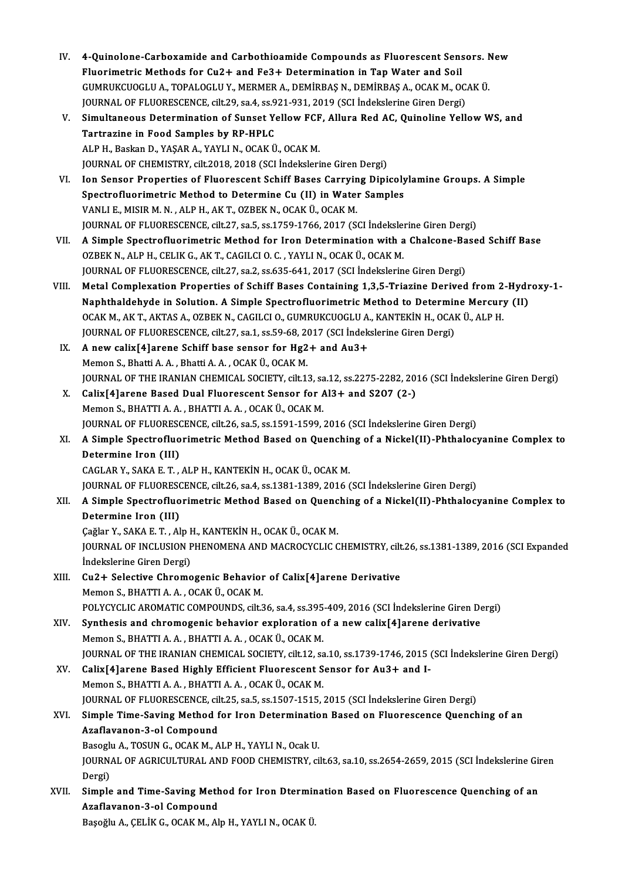- IV. 4-Quinolone-Carboxamide and Carbothioamide Compounds as Fluorescent Sensors. New 4-Quinolone-Carboxamide and Carbothioamide Compounds as Fluorescent Sens<br>Fluorimetric Methods for Cu2+ and Fe3+ Determination in Tap Water and Soil<br>CUMBUVCUOCULA TOPALOCULY MERMERA DEMIRRAS N. DEMIRRAS A OCAV M. O 4-Quinolone-Carboxamide and Carbothioamide Compounds as Fluorescent Sensors. N<br>Fluorimetric Methods for Cu2+ and Fe3+ Determination in Tap Water and Soil<br>GUMRUKCUOGLU A., TOPALOGLU Y., MERMER A., DEMİRBAŞ N., DEMİRBAŞ A., Fluorimetric Methods for Cu2+ and Fe3+ Determination in Tap Water and Soil<br>GUMRUKCUOGLU A., TOPALOGLU Y., MERMER A., DEMIRBAS N., DEMIRBAS A., OCAK M., OCAK Ü. GUMRUKCUOGLU A., TOPALOGLU Y., MERMER A., DEMIRBAŞ N., DEMIRBAŞ A., OCAK M., OCAK Ü.<br>JOURNAL OF FLUORESCENCE, cilt.29, sa.4, ss.921-931, 2019 (SCI İndekslerine Giren Dergi)<br>V. Simultaneous Determination of Sunset Yellow FC
- JOURNAL OF FLUORESCENCE, cilt.29, sa.4, ss.921-931, 2019 (SCI Indekslerine Giren Dergi)<br>Simultaneous Determination of Sunset Yellow FCF, Allura Red AC, Quinoline Yell<br>Tartrazine in Food Samples by RP-HPLC<br>ALP H., Baskan D. Simultaneous Determination of Sunset Yellow FCF<br>Tartrazine in Food Samples by RP-HPLC<br>ALP H., Baskan D., YAŞAR A., YAYLI N., OCAK Ü., OCAK M.<br>JOUPMAL OF CHEMISTRY silt 2018-2019 (SCL Indelseleri JOURNALOF CHEMISTRY, cilt.2018,2018 (SCI İndekslerineGirenDergi)
- VI. Ion Sensor Properties of Fluorescent Schiff Bases Carrying Dipicolylamine Groups. A Simple JOURNAL OF CHEMISTRY, cilt.2018, 2018 (SCI İndekslerine Giren Dergi)<br>Ion Sensor Properties of Fluorescent Schiff Bases Carrying Dipicoly<br>Spectrofluorimetric Method to Determine Cu (II) in Water Samples<br>VANLLE MISIP M.N., A Ion Sensor Properties of Fluorescent Schiff Bases Carryin<br>Spectrofluorimetric Method to Determine Cu (II) in Water<br>VANLI E., MISIR M. N. , ALP H., AK T., OZBEK N., OCAK Ü., OCAK M.<br>JOUPMAL OF ELUOPESCENCE, silt 27, sa E. s VANLI E., MISIR M. N. , ALP H., AK T., OZBEK N., OCAK Ü., OCAK M.<br>JOURNAL OF FLUORESCENCE, cilt.27, sa.5, ss.1759-1766, 2017 (SCI İndekslerine Giren Dergi)
- VII. A Simple Spectrofluorimetric Method for Iron Determination with a Chalcone-Based Schiff Base OZBEK N., ALP H., CELIK G., AK T., CAGILCI O. C., YAYLI N., OCAK Ü., OCAK M. JOURNAL OF FLUORESCENCE, cilt.27, sa.2, ss.635-641, 2017 (SCI İndekslerine Giren Dergi) OZBEK N., ALP H., CELIK G., AK T., CAGILCI O. C. , YAYLI N., OCAK Ü., OCAK M.<br>JOURNAL OF FLUORESCENCE, cilt.27, sa.2, ss.635-641, 2017 (SCI Indekslerine Giren Dergi)<br>VIII. Metal Complexation Properties of Schiff Bases Cont
- JOURNAL OF FLUORESCENCE, cilt.27, sa.2, ss.635-641, 2017 (SCI İndekslerine Giren Dergi)<br>Metal Complexation Properties of Schiff Bases Containing 1,3,5-Triazine Derived from 2-Hydr<br>Naphthaldehyde in Solution. A Simple Spect Metal Complexation Properties of Schiff Bases Containing 1,3,5-Triazine Derived from 2<br>Naphthaldehyde in Solution. A Simple Spectrofluorimetric Method to Determine Mercury<br>OCAK M., AK T., AKTAS A., OZBEK N., CAGILCI O., GU Naphthaldehyde in Solution. A Simple Spectrofluorimetric Method to Determin<br>OCAK M., AK T., AKTAS A., OZBEK N., CAGILCI O., GUMRUKCUOGLU A., KANTEKİN H., OCAI<br>JOURNAL OF FLUORESCENCE, cilt.27, sa.1, ss.59-68, 2017 (SCI İnd OCAK M., AK T., AKTAS A., OZBEK N., CAGILCI O., GUMRUKCUOGLU A., KANTEKİN H., OCAK Ü., ALP H.<br>JOURNAL OF FLUORESCENCE, cilt.27, sa.1, ss.59-68, 2017 (SCI İndekslerine Giren Dergi)<br>IX. A new calix[4]arene Schiff base se
- JOURNAL OF FLUORESCENCE, cilt.27, sa.1, ss.59-68, 20<br>A new calix[4]arene Schiff base sensor for Hg2<br>Memon S., Bhatti A.A., Bhatti A.A., OCAK Ü., OCAK M.<br>JOURNAL OF THE IRANIAN CHEMICAL SOCIETY, cilt.1: JOURNAL OF THE IRANIAN CHEMICAL SOCIETY, cilt.13, sa.12, ss.2275-2282, 2016 (SCI İndekslerine Giren Dergi) Memon S., Bhatti A. A., Bhatti A. A., OCAK Ü., OCAK M.<br>JOURNAL OF THE IRANIAN CHEMICAL SOCIETY, cilt.13, sa.12, ss.2275-2282, 20<br>X. Calix[4]arene Based Dual Fluorescent Sensor for Al3+ and S2O7 (2-)<br>Momon S. BHATTI A. A.,
- JOURNAL OF THE IRANIAN CHEMICAL SOCIETY, cilt.13, sa<br>Calix[4]arene Based Dual Fluorescent Sensor for *f*<br>Memon S., BHATTI A. A. , BHATTI A. A. , OCAK Ü., OCAK M.<br>JOURNAL OF ELUORESCENCE silt.26, sa 5, sa 1591, 1599, : Calix[4]arene Based Dual Fluorescent Sensor for Al3+ and S207 (2-)<br>Memon S., BHATTI A. A. , BHATTI A. A. , OCAK Ü., OCAK M.<br>JOURNAL OF FLUORESCENCE, cilt.26, sa.5, ss.1591-1599, 2016 (SCI İndekslerine Giren Dergi)<br>A Simple Memon S., BHATTI A. A. , BHATTI A. A. , OCAK Ü., OCAK M.<br>JOURNAL OF FLUORESCENCE, cilt.26, sa.5, ss.1591-1599, 2016 (SCI İndekslerine Giren Dergi)<br>XI. A Simple Spectrofluorimetric Method Based on Quenching of a Nickel(
- **JOURNAL OF FLUORESC<br>A Simple Spectrofluo<br>Determine Iron (III)** A Simple Spectrofluorimetric Method Based on Quenchii<br>Determine Iron (III)<br>CAGLAR Y., SAKA E. T. , ALP H., KANTEKİN H., OCAK Ü., OCAK M.<br>JOUPMAL OF ELUOPESCENCE. 8<sup>11</sup> 26. 88.4. 88.1291.1299.2016.6 Determine Iron (III)<br>CAGLAR Y., SAKA E. T. , ALP H., KANTEKİN H., OCAK Ü., OCAK M.<br>JOURNAL OF FLUORESCENCE, cilt.26, sa.4, ss.1381-1389, 2016 (SCI İndekslerine Giren Dergi)<br>A Simple Spectrofluorimetris Method Besed en Quen

### CAGLAR Y., SAKA E. T. , ALP H., KANTEKİN H., OCAK Ü., OCAK M.<br>JOURNAL OF FLUORESCENCE, cilt.26, sa.4, ss.1381-1389, 2016 (SCI İndekslerine Giren Dergi)<br>XII. A Simple Spectrofluorimetric Method Based on Quenching of a N **JOURNAL OF FLUORESC<br>A Simple Spectrofluo<br>Determine Iron (III)**<br>Co<sup>xlor V</sup>, SAKA E T, Al A Simple Spectrofluorimetric Method Based on Quenc<br>Determine Iron (III)<br>Çağlar Y., SAKA E. T. , Alp H., KANTEKİN H., OCAK Ü., OCAK M.<br>JOUPMAL OE INCLUSION PHENOMENA AND MACROCYCLIC C

Determine Iron (III)<br>Çağlar Y., SAKA E. T. , Alp H., KANTEKİN H., OCAK Ü., OCAK M.<br>JOURNAL OF INCLUSION PHENOMENA AND MACROCYCLIC CHEMISTRY, cilt.26, ss.1381-1389, 2016 (SCI Expanded<br>İndekslerine Giren Dergi) Çağlar Y., SAKA E. T., Alp H., KANTEKİN H., OCAK Ü., OCAK M. JOURNAL OF INCLUSION PHENOMENA AND MACROCYCLIC CHEMISTRY, cilt<br>
indekslerine Giren Dergi)<br>
XIII. Cu2+ Selective Chromogenic Behavior of Calix[4]arene Derivative<br>
Momon S. BHATTLA A. OCAK II. OCAK M

## İndekslerine Giren Dergi)<br>Cu2+ Selective Chromogenic Behavior<br>Memon S., BHATTI A. A. , OCAK Ü., OCAK M.<br>POLYCYCLE APOMATIC COMPOUNDS. silt 3 Memon S., BHATTI A. A. , OCAK Ü., OCAK M.<br>POLYCYCLIC AROMATIC COMPOUNDS, cilt.36, sa.4, ss.395-409, 2016 (SCI İndekslerine Giren Dergi)

Memon S., BHATTI A. A., OCAK Ü., OCAK M.<br>POLYCYCLIC AROMATIC COMPOUNDS, cilt.36, sa.4, ss.395-409, 2016 (SCI İndekslerine Giren De<br>XIV. Synthesis and chromogenic behavior exploration of a new calix[4]arene derivative<br>Memon POLYCYCLIC AROMATIC COMPOUNDS, cilt.36, sa.4, ss.395<br>Synthesis and chromogenic behavior exploration of<br>Memon S., BHATTI A. A. , BHATTI A. A. , OCAK Ü., OCAK M.<br>JOUPNAL OF THE IRANIAN CHEMICAL SOCIETY, silt 12, ss

Memon S., BHATTI A. A. , BHATTI A. A. , OCAK Ü., OCAK M.<br>JOURNAL OF THE IRANIAN CHEMICAL SOCIETY, cilt.12, sa.10, ss.1739-1746, 2015 (SCI İndekslerine Giren Dergi)

Memon S., BHATTI A. A., BHATTI A. A., OCAK Ü., OCAK M.<br>JOURNAL OF THE IRANIAN CHEMICAL SOCIETY, cilt.12, sa.10, ss.1739-1746, 2015<br>XV. Calix[4]arene Based Highly Efficient Fluorescent Sensor for Au3+ and I-<br>Momon S. BHATTI JOURNAL OF THE IRANIAN CHEMICAL SOCIETY, cilt.12, sa<br>Calix[4]arene Based Highly Efficient Fluorescent S<br>Memon S., BHATTI A. A. , BHATTI A. A. , OCAK Ü., OCAK M.<br>JOURNAL OF ELUORESCENCE silt 25, 89 5, 89.1507, 1515 ; Calix[4]arene Based Highly Efficient Fluorescent Sensor for Au3+ and I-<br>Memon S., BHATTI A. A. , BHATTI A. A. , OCAK Ü., OCAK M.<br>JOURNAL OF FLUORESCENCE, cilt.25, sa.5, ss.1507-1515, 2015 (SCI İndekslerine Giren Dergi)<br>Sim Memon S., BHATTI A. A. , BHATTI A. A. , OCAK Ü., OCAK M.<br>JOURNAL OF FLUORESCENCE, cilt.25, sa.5, ss.1507-1515, 2015 (SCI İndekslerine Giren Dergi)<br>XVI. Simple Time-Saving Method for Iron Determination Based on Fluorescence

### JOURNAL OF FLUORESCENCE, cil<br>Simple Time-Saving Method f<br>Azaflavanon-3-ol Compound<br>Basesh: A. TOSUN C. OCAK M. A Simple Time-Saving Method for Iron Determinatio<br>Azaflavanon-3-ol Compound<br>Basoglu A., TOSUN G., OCAK M., ALP H., YAYLI N., Ocak U.<br>JOUPMAL OF ACRICULTIPAL AND FOOD CHEMISTRY Si Azaflavanon-3-ol Compound<br>Basoglu A., TOSUN G., OCAK M., ALP H., YAYLI N., Ocak U.<br>JOURNAL OF AGRICULTURAL AND FOOD CHEMISTRY, cilt.63, sa.10, ss.2654-2659, 2015 (SCI İndekslerine Giren<br>Persi)

Basogli<br>JOURN<br>Dergi)<br>Simple JOURNAL OF AGRICULTURAL AND FOOD CHEMISTRY, cilt.63, sa.10, ss.2654-2659, 2015 (SCI İndekslerine Gir<br>Dergi)<br>XVII. Simple and Time-Saving Method for Iron Dtermination Based on Fluorescence Quenching of an

Dergi)<br>Simple and Time-Saving Meth<br>Azaflavanon-3-ol Compound<br>Basağlu A. CELİK G. OCAK M. Al Simple and Time-Saving Method for Iron Dtermir<br>Azaflavanon-3-ol Compound<br>Başoğlu A., ÇELİK G., OCAK M., Alp H., YAYLI N., OCAK Ü.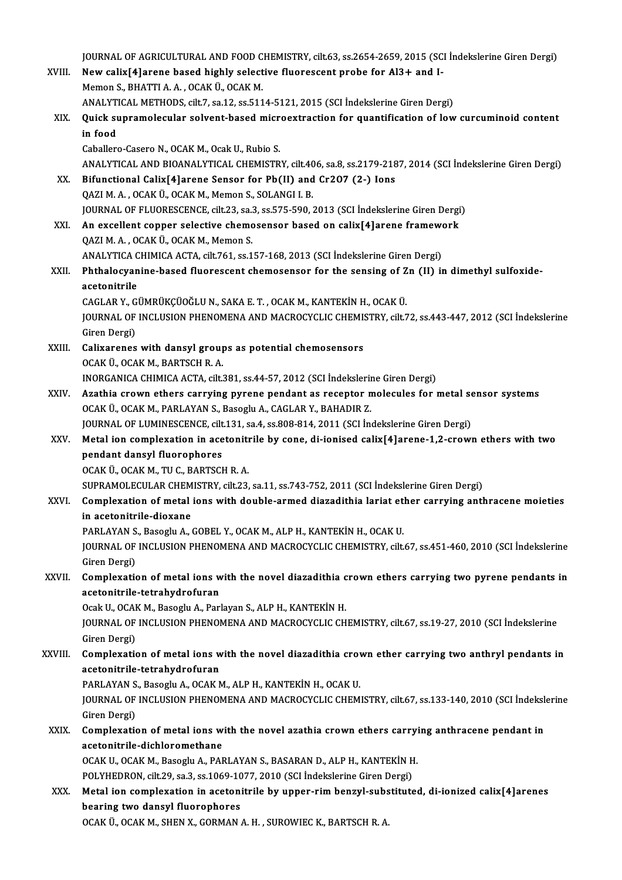JOURNAL OF AGRICULTURAL AND FOOD CHEMISTRY, cilt.63, ss.2654-2659, 2015 (SCI İndekslerine Giren Dergi)<br>Nav salix[4]arane based bishlu selestive fluoressent prebe for Al3 L and L

|             | JOURNAL OF AGRICULTURAL AND FOOD CHEMISTRY, cilt.63, ss.2654-2659, 2015 (SCI İndekslerine Giren Dergi)                                                     |
|-------------|------------------------------------------------------------------------------------------------------------------------------------------------------------|
| XVIII.      | New calix[4] arene based highly selective fluorescent probe for Al3+ and I-                                                                                |
|             | Memon S., BHATTI A. A., OCAK Ü., OCAK M.                                                                                                                   |
|             | ANALYTICAL METHODS, cilt.7, sa.12, ss.5114-5121, 2015 (SCI İndekslerine Giren Dergi)                                                                       |
| XIX.        | Quick supramolecular solvent-based microextraction for quantification of low curcuminoid content                                                           |
|             | in food                                                                                                                                                    |
|             | Caballero-Casero N., OCAK M., Ocak U., Rubio S.                                                                                                            |
|             | ANALYTICAL AND BIOANALYTICAL CHEMISTRY, cilt.406, sa.8, ss.2179-2187, 2014 (SCI İndekslerine Giren Dergi)                                                  |
| XX.         | Bifunctional Calix <sup>[4]</sup> arene Sensor for Pb(II) and Cr207 (2-) Ions                                                                              |
|             | QAZI M. A., OCAK Ü., OCAK M., Memon S., SOLANGI I. B.                                                                                                      |
|             | JOURNAL OF FLUORESCENCE, cilt.23, sa.3, ss.575-590, 2013 (SCI İndekslerine Giren Dergi)                                                                    |
| XXI.        | An excellent copper selective chemosensor based on calix[4]arene framework                                                                                 |
|             | QAZI M. A., OCAK Ü., OCAK M., Memon S.                                                                                                                     |
|             | ANALYTICA CHIMICA ACTA, cilt.761, ss.157-168, 2013 (SCI İndekslerine Giren Dergi)                                                                          |
| XXII.       | Phthalocyanine-based fluorescent chemosensor for the sensing of Zn (II) in dimethyl sulfoxide-                                                             |
|             | acetonitrile                                                                                                                                               |
|             | CAGLAR Y., GÜMRÜKÇÜOĞLU N., SAKA E. T., OCAK M., KANTEKİN H., OCAK Ü.                                                                                      |
|             | JOURNAL OF INCLUSION PHENOMENA AND MACROCYCLIC CHEMISTRY, cilt.72, ss.443-447, 2012 (SCI Indekslerine                                                      |
| XXIII.      | Giren Dergi)<br>Calixarenes with dansyl groups as potential chemosensors                                                                                   |
|             | OCAK Ü., OCAK M., BARTSCH R. A.                                                                                                                            |
|             | INORGANICA CHIMICA ACTA, cilt.381, ss.44-57, 2012 (SCI Indekslerine Giren Dergi)                                                                           |
| XXIV.       | Azathia crown ethers carrying pyrene pendant as receptor molecules for metal sensor systems                                                                |
|             | OCAK Ü., OCAK M., PARLAYAN S., Basoglu A., CAGLAR Y., BAHADIR Z.                                                                                           |
|             | JOURNAL OF LUMINESCENCE, cilt.131, sa.4, ss.808-814, 2011 (SCI Indekslerine Giren Dergi)                                                                   |
| XXV.        | Metal ion complexation in acetonitrile by cone, di-ionised calix[4] arene-1,2-crown ethers with two                                                        |
|             | pendant dansyl fluorophores                                                                                                                                |
|             | OCAK Ü., OCAK M., TU C., BARTSCH R. A.                                                                                                                     |
|             | SUPRAMOLECULAR CHEMISTRY, cilt.23, sa.11, ss.743-752, 2011 (SCI İndekslerine Giren Dergi)                                                                  |
| <b>XXVI</b> | Complexation of metal ions with double-armed diazadithia lariat ether carrying anthracene moieties                                                         |
|             | in acetonitrile-dioxane                                                                                                                                    |
|             | PARLAYAN S., Basoglu A., GOBEL Y., OCAK M., ALP H., KANTEKİN H., OCAK U.                                                                                   |
|             | JOURNAL OF INCLUSION PHENOMENA AND MACROCYCLIC CHEMISTRY, cilt.67, ss.451-460, 2010 (SCI İndekslerine                                                      |
|             | Giren Dergi)                                                                                                                                               |
| XXVII.      | Complexation of metal ions with the novel diazadithia crown ethers carrying two pyrene pendants in                                                         |
|             | acetonitrile-tetrahydrofuran                                                                                                                               |
|             | Ocak U., OCAK M., Basoglu A., Parlayan S., ALP H., KANTEKİN H.                                                                                             |
|             | JOURNAL OF INCLUSION PHENOMENA AND MACROCYCLIC CHEMISTRY, cilt.67, ss.19-27, 2010 (SCI İndekslerine                                                        |
|             | Giren Dergi)                                                                                                                                               |
| XXVIII.     | Complexation of metal ions with the novel diazadithia crown ether carrying two anthryl pendants in                                                         |
|             | acetonitrile-tetrahydrofuran                                                                                                                               |
|             | PARLAYAN S., Basoglu A., OCAK M., ALP H., KANTEKİN H., OCAK U.                                                                                             |
|             | JOURNAL OF INCLUSION PHENOMENA AND MACROCYCLIC CHEMISTRY, cilt.67, ss.133-140, 2010 (SCI İndekslerine                                                      |
|             | Giren Dergi)                                                                                                                                               |
| XXIX.       | Complexation of metal ions with the novel azathia crown ethers carrying anthracene pendant in<br>acetonitrile-dichloromethane                              |
|             |                                                                                                                                                            |
|             | OCAK U., OCAK M., Basoglu A., PARLAYAN S., BASARAN D., ALP H., KANTEKİN H.<br>POLYHEDRON, cilt.29, sa.3, ss.1069-1077, 2010 (SCI Indekslerine Giren Dergi) |
| XXX.        | Metal ion complexation in acetonitrile by upper-rim benzyl-substituted, di-ionized calix[4] arenes                                                         |
|             | bearing two dansyl fluorophores                                                                                                                            |
|             | OCAK Ü., OCAK M., SHEN X., GORMAN A. H., SUROWIEC K., BARTSCH R. A.                                                                                        |
|             |                                                                                                                                                            |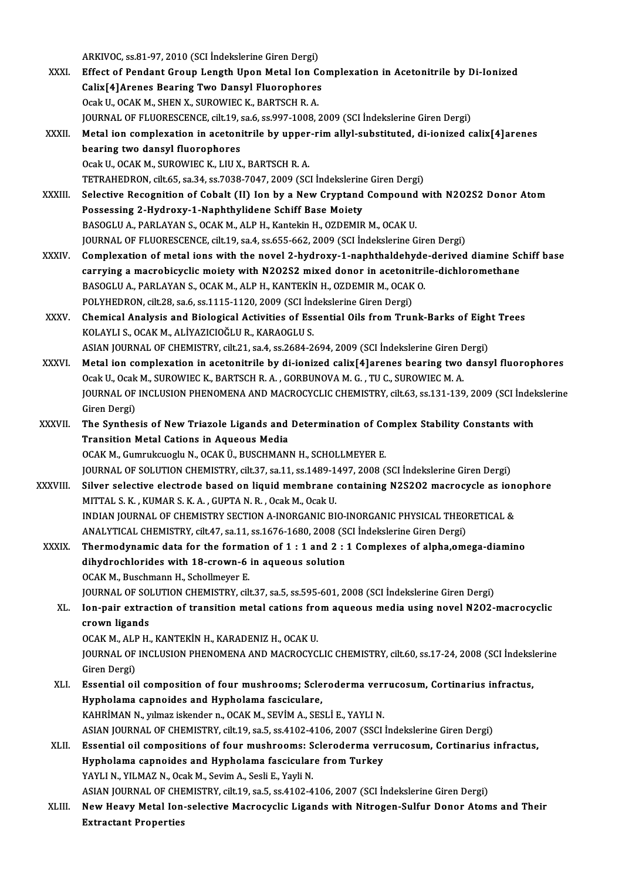ARKIVOC, ss.81-97, 2010 (SCI İndekslerine Giren Dergi)

XXXI. Effect of Pendant Group Length Upon Metal Ion Complexation in Acetonitrile by Di-Ionized ARKIVOC, ss.81-97, 2010 (SCI İndekslerine Giren Dergi)<br>Effect of Pendant Group Length Upon Metal Ion Co<br>Calix[4]Arenes Bearing Two Dansyl Fluorophores<br>Ogal: U. OCAK M. SUEN Y. SUBOWIEC K. BARTSCH R.A. Effect of Pendant Group Length Upon Metal Ion C<br>Calix[4]Arenes Bearing Two Dansyl Fluorophores<br>Ocak U., OCAK M., SHEN X., SUROWIEC K., BARTSCH R. A.<br>JOUPMAL OF ELUORESCENCE, sit 10, 22 6, 22.007, 1008 Calix[4]Arenes Bearing Two Dansyl Fluorophores<br>Ocak U., OCAK M., SHEN X., SUROWIEC K., BARTSCH R. A.<br>JOURNAL OF FLUORESCENCE, cilt.19, sa.6, ss.997-1008, 2009 (SCI İndekslerine Giren Dergi)<br>Metal ion complexation in aceton Ocak U., OCAK M., SHEN X., SUROWIEC K., BARTSCH R. A.<br>JOURNAL OF FLUORESCENCE, cilt.19, sa.6, ss.997-1008, 2009 (SCI İndekslerine Giren Dergi)<br>XXXII. Metal ion complexation in acetonitrile by upper-rim allyl-substituted, d **JOURNAL OF FLUORESCENCE, cilt.19, s**<br>Metal ion complexation in acetoni<br>bearing two dansyl fluorophores<br>Ocak II, OCAK M, SUROWIEC K, LULY Metal ion complexation in acetonitrile by upper<br>bearing two dansyl fluorophores<br>Ocak U., OCAK M., SUROWIEC K., LIU X., BARTSCH R. A.<br>TETP AUEDPON, silt 65, sa 24, sa 7028, 7047, 2009, CSC bearing two dansyl fluorophores<br>Ocak U., OCAK M., SUROWIEC K., LIU X., BARTSCH R. A.<br>TETRAHEDRON, cilt.65, sa.34, ss.7038-7047, 2009 (SCI İndekslerine Giren Dergi) Ocak U., OCAK M., SUROWIEC K., LIU X., BARTSCH R. A.<br>TETRAHEDRON, cilt.65, sa.34, ss.7038-7047, 2009 (SCI indekslerine Giren Dergi)<br>XXXIII. Selective Recognition of Cobalt (II) Ion by a New Cryptand Compound with N2O2S2 Do TETRAHEDRON, cilt.65, sa.34, ss.7038-7047, 2009 (SCI İndekslerine<br>Selective Recognition of Cobalt (II) Ion by a New Cryptand<br>Possessing 2-Hydroxy-1-Naphthylidene Schiff Base Moiety<br>RASOCLUA, RARLAYAN S. OCAK M. ALB H. Kart Selective Recognition of Cobalt (II) Ion by a New Cryptand Compound<br>Possessing 2-Hydroxy-1-Naphthylidene Schiff Base Moiety<br>BASOGLU A., PARLAYAN S., OCAK M., ALP H., Kantekin H., OZDEMIR M., OCAK U.<br>JOUPMAL OF ELUORESCENCE Possessing 2-Hydroxy-1-Naphthylidene Schiff Base Moiety<br>BASOGLU A., PARLAYAN S., OCAK M., ALP H., Kantekin H., OZDEMIR M., OCAK U.<br>JOURNAL OF FLUORESCENCE, cilt.19, sa.4, ss.655-662, 2009 (SCI İndekslerine Giren Dergi) BASOGLU A., PARLAYAN S., OCAK M., ALP H., Kantekin H., OZDEMIR M., OCAK U.<br>JOURNAL OF FLUORESCENCE, cilt.19, sa.4, ss.655-662, 2009 (SCI indekslerine Giren Dergi)<br>XXXIV. Complexation of metal ions with the novel 2-hydroxy-JOURNAL OF FLUORESCENCE, cilt.19, sa.4, ss.655-662, 2009 (SCI İndekslerine Giren Dergi)<br>Complexation of metal ions with the novel 2-hydroxy-1-naphthaldehyde-derived diamine Sc<br>carrying a macrobicyclic moiety with N2O2S2 mi Complexation of metal ions with the novel 2-hydroxy-1-naphthaldehyde<br>carrying a macrobicyclic moiety with N2O2S2 mixed donor in acetonitri<br>BASOGLU A., PARLAYAN S., OCAK M., ALP H., KANTEKİN H., OZDEMIR M., OCAK O.<br>POLYHEDR carrying a macrobicyclic moiety with N2O2S2 mixed donor in acetonitrile-dichloromethane<br>BASOGLU A., PARLAYAN S., OCAK M., ALP H., KANTEKIN H., OZDEMIR M., OCAK O. XXXV. Chemical Analysis and Biological Activities of Essential Oils from Trunk-Barks of Eight Trees<br>KOLAYLI S., OCAK M., ALIYAZICIOĞLU R., KARAOGLU S. POLYHEDRON, cilt.28, sa.6, ss.1115-1120, 2009 (SCI İndekslerine Giren Dergi) Chemical Analysis and Biological Activities of Essential Oils from Trunk-Barks of Eigh<br>KOLAYLI S., OCAK M., ALİYAZICIOĞLU R., KARAOGLU S.<br>ASIAN JOURNAL OF CHEMISTRY, cilt.21, sa.4, ss.2684-2694, 2009 (SCI İndekslerine Gire XXXVI. Metal ion complexation in acetonitrile by di-ionized calix[4]arenes bearing two dansyl fluorophores<br>Ocak U., Ocak M., SUROWIEC K., BARTSCH R. A., GORBUNOVA M. G., TU C., SUROWIEC M. A. ASIAN JOURNAL OF CHEMISTRY, cilt.21, sa.4, ss.2684-2694, 2009 (SCI indekslerine Giren D<br>Metal ion complexation in acetonitrile by di-ionized calix[4]arenes bearing two<br>Ocak U., Ocak M., SUROWIEC K., BARTSCH R. A. , GORBUNO Metal ion complexation in acetonitrile by di-ionized calix[4]arenes bearing two dansyl fluorophores<br>Ocak U., Ocak M., SUROWIEC K., BARTSCH R. A. , GORBUNOVA M. G. , TU C., SUROWIEC M. A.<br>JOURNAL OF INCLUSION PHENOMENA AND Ocak U., Ocak<br>JOURNAL OF<br>Giren Dergi)<br>The Synthes JOURNAL OF INCLUSION PHENOMENA AND MACROCYCLIC CHEMISTRY, cilt.63, ss.131-139, 2009 (SCI Indel<br>Giren Dergi)<br>XXXVII. The Synthesis of New Triazole Ligands and Determination of Complex Stability Constants with<br>Transition Mot Giren Dergi)<br>The Synthesis of New Triazole Ligands and<br>Transition Metal Cations in Aqueous Media<br>OCAK M. Cumrukayogly N. OCAK Ü. BUSCHMANI The Synthesis of New Triazole Ligands and Determination of Co<br>Transition Metal Cations in Aqueous Media<br>OCAK M., Gumrukcuoglu N., OCAK Ü., BUSCHMANN H., SCHOLLMEYER E.<br>JOUPMAL OF SOLUTION CHEMISTRY silt 27, so 11, so 1499, Transition Metal Cations in Aqueous Media<br>OCAK M., Gumrukcuoglu N., OCAK Ü., BUSCHMANN H., SCHOLLMEYER E.<br>JOURNAL OF SOLUTION CHEMISTRY, cilt.37, sa.11, ss.1489-1497, 2008 (SCI İndekslerine Giren Dergi) OCAK M., Gumrukcuoglu N., OCAK Ü., BUSCHMANN H., SCHOLLMEYER E.<br>JOURNAL OF SOLUTION CHEMISTRY, cilt.37, sa.11, ss.1489-1497, 2008 (SCI İndekslerine Giren Dergi)<br>XXXVIII. Silver selective electrode based on liquid membrane JOURNAL OF SOLUTION CHEMISTRY, cilt.37, sa.11, ss.1489-1<br>Silver selective electrode based on liquid membrane<br>MITTAL S. K. , KUMAR S. K. A. , GUPTA N. R. , Ocak M., Ocak U.<br>INDIAN JOURNAL OF CHEMISTRY SECTION A INORGANIC BL Silver selective electrode based on liquid membrane containing N2S202 macrocycle as ione<br>MITTAL S. K., KUMAR S. K. A., GUPTA N. R., Ocak M., Ocak U.<br>INDIAN JOURNAL OF CHEMISTRY SECTION A-INORGANIC BIO-INORGANIC PHYSICAL TH MITTAL S. K. , KUMAR S. K. A. , GUPTA N. R. , Ocak M., Ocak U.<br>INDIAN JOURNAL OF CHEMISTRY SECTION A-INORGANIC BIO-INORGANIC PHYSICAL THEO<br>ANALYTICAL CHEMISTRY, cilt.47, sa.11, ss.1676-1680, 2008 (SCI İndekslerine Giren De INDIAN JOURNAL OF CHEMISTRY SECTION A-INORGANIC BIO-INORGANIC PHYSICAL THEORETICAL &<br>ANALYTICAL CHEMISTRY, cilt.47, sa.11, ss.1676-1680, 2008 (SCI Indekslerine Giren Dergi)<br>XXXIX. Thermodynamic data for the formation of 1 ANALYTICAL CHEMISTRY, cilt.47, sa.11, ss.1676-1680, 2008 (S)<br>Thermodynamic data for the formation of 1 : 1 and 2 : 3<br>dihydrochlorides with 18-crown-6 in aqueous solution<br>OCAY M. Bussbmann H. Sshellmayor E Thermodynamic data for the forma<br>dihydrochlorides with 18-crown-6<br>OCAK M., Buschmann H., Schollmeyer E.<br>JOUPNAL OF SOLUTION CHEMISTRY sil dihydrochlorides with 18-crown-6 in aqueous solution<br>OCAK M., Buschmann H., Schollmeyer E.<br>JOURNAL OF SOLUTION CHEMISTRY, cilt.37, sa.5, ss.595-601, 2008 (SCI İndekslerine Giren Dergi) OCAK M., Buschmann H., Schollmeyer E.<br>JOURNAL OF SOLUTION CHEMISTRY, cilt.37, sa.5, ss.595-601, 2008 (SCI İndekslerine Giren Dergi)<br>XL. Ion-pair extraction of transition metal cations from aqueous media using novel N2O2-ma crown ligands<br>OCAK M., ALP H., KANTEKİN H., KARADENIZ H., OCAK U. **Ion-pair extraction of transition metal cations fro<br>crown ligands<br>OCAK M., ALP H., KANTEKİN H., KARADENIZ H., OCAK U.<br>JOUPMAL OF INCLUSION PUENOMENA AND MACPOCYC** crown ligands<br>OCAK M., ALP H., KANTEKİN H., KARADENIZ H., OCAK U.<br>JOURNAL OF INCLUSION PHENOMENA AND MACROCYCLIC CHEMISTRY, cilt.60, ss.17-24, 2008 (SCI İndekslerine<br>Ciron Dargi) OCAK M., ALF<br>JOURNAL OF<br>Giren Dergi)<br>Essential of JOURNAL OF INCLUSION PHENOMENA AND MACROCYCLIC CHEMISTRY, cilt.60, ss.17-24, 2008 (SCI Indeksl<br>Giren Dergi)<br>XLI. Essential oil composition of four mushrooms; Scleroderma verrucosum, Cortinarius infractus,<br>Hunbelame canneid Giren Dergi)<br>Essential oil composition of four mushrooms; Scle<br>Hypholama capnoides and Hypholama fasciculare,<br>KAHPIMAN N. Wimar iskonder n. OCAK M. SEVIM A. SES Essential oil composition of four mushrooms; Scleroderma veri<br>Hypholama capnoides and Hypholama fasciculare,<br>KAHRİMAN N., yılmaz iskender n., OCAK M., SEVİM A., SESLİ E., YAYLI N.<br>ASIAN JOUPNAL OF CHEMISTRY, silt 19, 28 5, Hypholama capnoides and Hypholama fasciculare,<br>KAHRİMAN N., yılmaz iskender n., OCAK M., SEVİM A., SESLİ E., YAYLI N.<br>ASIAN JOURNAL OF CHEMISTRY, cilt.19, sa.5, ss.4102-4106, 2007 (SSCI İndekslerine Giren Dergi)<br>Fesential KAHRİMAN N., yılmaz iskender n., OCAK M., SEVİM A., SESLİ E., YAYLI N.<br>ASIAN JOURNAL OF CHEMISTRY, cilt.19, sa.5, ss.4102-4106, 2007 (SSCI İndekslerine Giren Dergi)<br>XLII. Essential oil compositions of four mushrooms: Scler ASIAN JOURNAL OF CHEMISTRY, cilt.19, sa.5, ss.4102-4106, 2007 (SSCI<br>Essential oil compositions of four mushrooms: Scleroderma vel<br>Hypholama capnoides and Hypholama fasciculare from Turkey<br>YAYLLN, VILMAZ N. Ossl: M. Savim A Essential oil compositions of four mushrooms: S<br>Hypholama capnoides and Hypholama fascicular<br>YAYLI N., YILMAZ N., Ocak M., Sevim A., Sesli E., Yayli N.<br>ASIAN JOUPNAL OF CHEMISTRY silt 10, 32 5, 33,4103,4 Hypholama capnoides and Hypholama fasciculare from Turkey<br>YAYLI N., YILMAZ N., Ocak M., Sevim A., Sesli E., Yayli N.<br>ASIAN JOURNAL OF CHEMISTRY, cilt.19, sa.5, ss.4102-4106, 2007 (SCI İndekslerine Giren Dergi) YAYLI N., YILMAZ N., Ocak M., Sevim A., Sesli E., Yayli N.<br>ASIAN JOURNAL OF CHEMISTRY, cilt.19, sa.5, ss.4102-4106, 2007 (SCI İndekslerine Giren Dergi)<br>XLIII. New Heavy Metal Ion-selective Macrocyclic Ligands with Nitrogen ASIAN JOURNAL OF CHE<br>New Heavy Metal Ion<br>Extractant Properties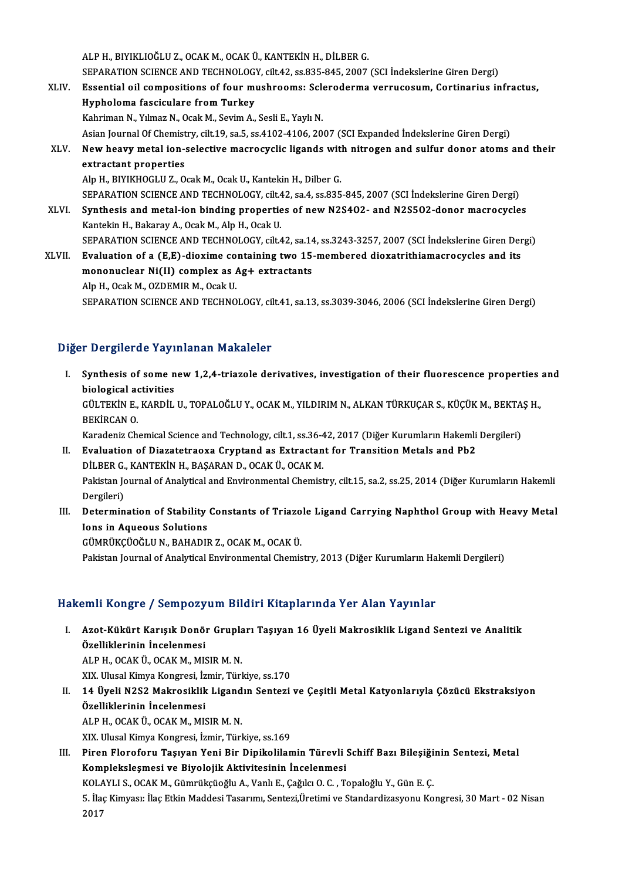ALPH.,BIYIKLIOĞLUZ.,OCAKM.,OCAKÜ.,KANTEKİNH.,DİLBERG. ALP H., BIYIKLIOĞLU Z., OCAK M., OCAK Ü., KANTEKİN H., DİLBER G.<br>SEPARATION SCIENCE AND TECHNOLOGY, cilt.42, ss.835-845, 2007 (SCI İndekslerine Giren Dergi)<br>Fesantial ail compositions of four mushroomsu Selaraderma yarruso

- XLIV. Essential oil compositions of four mushrooms: Scleroderma verrucosum, Cortinarius infractus, SEPARATION SCIENCE AND TECHNOLOG<br>Essential oil compositions of four mu<br>Hypholoma fasciculare from Turkey<br>Kehriman N. Vilman N. Ocal: M. Savim A. Kahriman N., Yılmaz N., Ocak M., Sevim A., Sesli E., Yaylı N. Asian Journal Of Chemistry, cilt.19, sa.5, ss.4102-4106, 2007 (SCI Expanded İndekslerine Giren Dergi) Kahriman N., Yılmaz N., Ocak M., Sevim A., Sesli E., Yaylı N.<br>Asian Journal Of Chemistry, cilt.19, sa.5, ss.4102-4106, 2007 (SCI Expanded İndekslerine Giren Dergi)<br>XLV. New heavy metal ion-selective macrocyclic ligands wit Asian Journal Of Chemist<br>New heavy metal ion-<br>extractant properties<br>Alp H. BIVIKHOCLUZ, O
- New heavy metal ion-selective macrocyclic ligands with<br>extractant properties<br>Alp H., BIYIKHOGLU Z., Ocak M., Ocak U., Kantekin H., Dilber G.<br>SERARATION SCIENCE AND TECHNOLOCY si<sup>11</sup>42, se 4, se <sup>925</sup> extractant properties<br>Alp H., BIYIKHOGLU Z., Ocak M., Ocak U., Kantekin H., Dilber G.<br>SEPARATION SCIENCE AND TECHNOLOGY, cilt.42, sa.4, ss.835-845, 2007 (SCI İndekslerine Giren Dergi)<br>Synthosis and metal ian binding proper Alp H., BIYIKHOGLU Z., Ocak M., Ocak U., Kantekin H., Dilber G.<br>SEPARATION SCIENCE AND TECHNOLOGY, cilt.42, sa.4, ss.835-845, 2007 (SCI İndekslerine Giren Dergi)<br>XLVI. Synthesis and metal-ion binding properties of new N2S4

SEPARATION SCIENCE AND TECHNOLOGY, cilt.4<br>Synthesis and metal-ion binding propertie<br>Kantekin H., Bakaray A., Ocak M., Alp H., Ocak U.<br>SERARATION SCIENCE AND TECHNOLOGY silt.4 Synthesis and metal-ion binding properties of new N2S402- and N2S502-donor macrocycles<br>Kantekin H., Bakaray A., Ocak M., Alp H., Ocak U.<br>SEPARATION SCIENCE AND TECHNOLOGY, cilt.42, sa.14, ss.3243-3257, 2007 (SCI İndeksleri Kantekin H., Bakaray A., Ocak M., Alp H., Ocak U.<br>SEPARATION SCIENCE AND TECHNOLOGY, cilt.42, sa.14, ss.3243-3257, 2007 (SCI İndekslerine Giren Der<br>XLVII. Evaluation of a (E,E)-dioxime containing two 15-membered dioxatrith

SEPARATION SCIENCE AND TECHNOLOGY, cilt.42, sa.14<br>Evaluation of a (E,E)-dioxime containing two 15-<br>mononuclear Ni(II) complex as Ag+ extractants Evaluation of a (E,E)-dioxime co<br>mononuclear Ni(II) complex as *A*<br>Alp H., Ocak M., OZDEMIR M., Ocak U.<br>SERARATION SCIENCE AND TECHNO mononuclear Ni(II) complex as Ag+ extractants<br>Alp H., Ocak M., OZDEMIR M., Ocak U.<br>SEPARATION SCIENCE AND TECHNOLOGY, cilt.41, sa.13, ss.3039-3046, 2006 (SCI İndekslerine Giren Dergi)

### Diğer Dergilerde Yayınlanan Makaleler

Iger Dergilerde Yayınlanan Makaleler<br>I. Synthesis of some new 1,2,4-triazole derivatives, investigation of their fluorescence properties and<br>hielogical astivities biological activities<br>biological activities<br>cin revin F *VA*PDit Synthesis of some new 1,2,4-triazole derivatives, investigation of their fluorescence properties<br>biological activities<br>GÜLTEKİN E., KARDİL U., TOPALOĞLU Y., OCAK M., YILDIRIM N., ALKAN TÜRKUÇAR S., KÜÇÜK M., BEKTAŞ H.,<br>PEK biological activities<br>GÜLTEKİN E., KARDİL U., TOPALOĞLU Y., OCAK M., YILDIRIM N., ALKAN TÜRKUÇAR S., KÜÇÜK M., BEKTAŞ H.,<br>BEKİRCAN O. GÜLTEKİN E., KARDİL U., TOPALOĞLU Y., OCAK M., YILDIRIM N., ALKAN TÜRKUÇAR S., KÜÇÜK M., BEKTA<br>BEKİRCAN O.<br>Karadeniz Chemical Science and Technology, cilt.1, ss.36-42, 2017 (Diğer Kurumların Hakemli Dergileri)<br>Fyalustion o II. Evaluation of Diazatetraoxa Cryptand as Extractant for Transition Metals and Pb2<br>DILBER G., KANTEKIN H., BASARAN D., OCAK Ü., OCAK M. Karadeniz Chemical Science and Technology, cilt.1, ss.36-4<br>**Evaluation of Diazatetraoxa Cryptand as Extractan**<br>DİLBER G., KANTEKİN H., BAŞARAN D., OCAK Ü., OCAK M.<br>Pekistan Journal of Anakitisal and Environmental Chemist

Pakistan Journal of Analytical and Environmental Chemistry, cilt.15, sa.2, ss.25, 2014 (Diğer Kurumların Hakemli Dergileri) Pakistan Journal of Analytical and Environmental Chemistry, cilt.15, sa.2, ss.25, 2014 (Diğer Kurumların Hakemli<br>Dergileri)<br>III. Determination of Stability Constants of Triazole Ligand Carrying Naphthol Group with Heavy Me

Dergileri)<br>Determination of Stability<br>Ions in Aqueous Solutions<br>CÜMPÜKCÜQČLUN PAHADU Ions in Aqueous Solutions<br>GÜMRÜKÇÜOĞLU N., BAHADIR Z., OCAK M., OCAK Ü.

Pakistan Journal of Analytical Environmental Chemistry, 2013 (Diğer Kurumların Hakemli Dergileri)

### Hakemli Kongre / Sempozyum Bildiri Kitaplarında Yer Alan Yayınlar

akemli Kongre / Sempozyum Bildiri Kitaplarında Yer Alan Yayınlar<br>I. Azot-Kükürt Karışık Donör Grupları Taşıyan 16 Üyeli Makrosiklik Ligand Sentezi ve Analitik<br>Özelliklerinin İnselenmesi özel iklerinin İncelenmesi<br>Özelliklerinin İncelenmesi<br>ALBH OCAKÜ OCAKM MIS Özelliklerinin İncelenmesi<br>ALP H., OCAK Ü., OCAK M., MISIR M. N.

XIX.UlusalKimyaKongresi, İzmir,Türkiye, ss.170

ALP H., OCAK Ü., OCAK M., MISIR M. N.<br>XIX. Ulusal Kimya Kongresi, İzmir, Türkiye, ss.170<br>II. 14 Üyeli N2S2 Makrosiklik Ligandın Sentezi ve Çeşitli Metal Katyonlarıyla Çözücü Ekstraksiyon<br>Özelliklerinin İnselenmesi XIX. Ulusal Kimya Kongresi, İz<br>14 Üyeli N2S2 Makrosiklik<br>Özelliklerinin İncelenmesi<br>ALBH OGAKÜ OGAKM MIS 14 Üyeli N2S2 Makrosiklik Ligand<br>Özelliklerinin İncelenmesi<br>ALP H., OCAK Ü., OCAK M., MISIR M. N.<br>YIY Hlugal Kimua Kongresi, İsmin Türl Özelliklerinin İncelenmesi<br>ALP H., OCAK Ü., OCAK M., MISIR M. N.<br>XIX. Ulusal Kimya Kongresi, İzmir, Türkiye, ss.169

ALP H., OCAK Ü., OCAK M., MISIR M. N.<br>III. XIX. Ulusal Kimya Kongresi, İzmir, Türkiye, ss.169<br>III. Piren Floroforu Taşıyan Yeni Bir Dipikolilamin Türevli Schiff Bazı Bileşiğinin Sentezi, Metal<br>Komplekslesmesi ve Bi XIX. Ulusal Kimya Kongresi, İzmir, Türkiye, ss.169<br>Piren Floroforu Taşıyan Yeni Bir Dipikolilamin Türevli :<br>Kompleksleşmesi ve Biyolojik Aktivitesinin İncelenmesi<br>KOLAYLLS, QCAK M. Gümrüksünğlu A. Vanlı E. Geğilü Q. G., T. Piren Floroforu Taşıyan Yeni Bir Dipikolilamin Türevli Schiff Bazı Bileşiği<br>Kompleksleşmesi ve Biyolojik Aktivitesinin İncelenmesi<br>KOLAYLI S., OCAK M., Gümrükçüoğlu A., Vanlı E., Çağılcı O. C. , Topaloğlu Y., Gün E. Ç.<br>E. KOLAYLI S., OCAK M., Gümrükçüoğlu A., Vanlı E., Çağılcı O. C., Topaloğlu Y., Gün E. Ç.

Kompleksleşmesi ve Biyolojik Aktivitesinin İncelenmesi<br>KOLAYLI S., OCAK M., Gümrükçüoğlu A., Vanlı E., Çağılcı O. C. , Topaloğlu Y., Gün E. Ç.<br>5. İlaç Kimyası: İlaç Etkin Maddesi Tasarımı, Sentezi,Üretimi ve Standardizasyo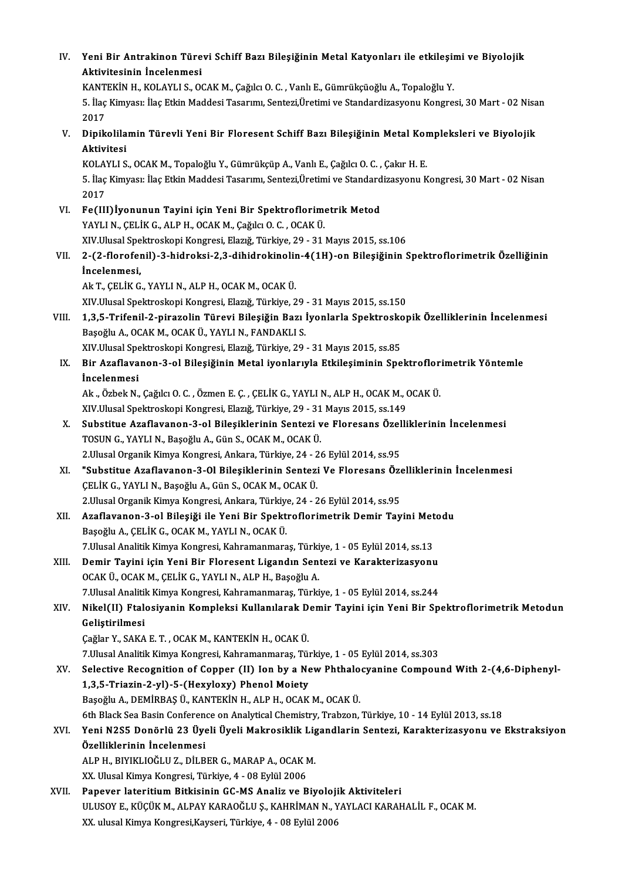| IV.   | Yeni Bir Antrakinon Türevi Schiff Bazı Bileşiğinin Metal Katyonları ile etkileşimi ve Biyolojik                         |
|-------|-------------------------------------------------------------------------------------------------------------------------|
|       | Aktivitesinin Incelenmesi                                                                                               |
|       | KANTEKİN H., KOLAYLI S., OCAK M., Çağılcı O. C., Vanlı E., Gümrükçüoğlu A., Topaloğlu Y.                                |
|       | 5. İlaç Kimyası: İlaç Etkin Maddesi Tasarımı, Sentezi, Üretimi ve Standardizasyonu Kongresi, 30 Mart - 02 Nisan<br>2017 |
| V.    | Dipikolilamin Türevli Yeni Bir Floresent Schiff Bazı Bileşiğinin Metal Kompleksleri ve Biyolojik<br>Aktivitesi          |
|       | KOLAYLI S., OCAK M., Topaloğlu Y., Gümrükçüp A., Vanlı E., Çağılcı O. C., Çakır H. E.                                   |
|       | 5. İlaç Kimyası: İlaç Etkin Maddesi Tasarımı, Sentezi, Üretimi ve Standardizasyonu Kongresi, 30 Mart - 02 Nisan<br>2017 |
| VI.   | Fe(III) İyonunun Tayini için Yeni Bir Spektroflorimetrik Metod                                                          |
|       | YAYLI N., ÇELİK G., ALP H., OCAK M., Çağılcı O. C., OCAK Ü.                                                             |
|       | XIV Ulusal Spektroskopi Kongresi, Elazığ, Türkiye, 29 - 31 Mayıs 2015, ss.106                                           |
| VII.  | 2-(2-florofenil)-3-hidroksi-2,3-dihidrokinolin-4(1H)-on Bileşiğinin Spektroflorimetrik Özelliğinin                      |
|       | İncelenmesi,                                                                                                            |
|       | Ak T., ÇELİK G., YAYLI N., ALP H., OCAK M., OCAK Ü.                                                                     |
|       | XIV. Ulusal Spektroskopi Kongresi, Elazığ, Türkiye, 29 - 31 Mayıs 2015, ss.150                                          |
| VIII. | 1,3,5-Trifenil-2-pirazolin Türevi Bileşiğin Bazı İyonlarla Spektroskopik Özelliklerinin İncelenmesi                     |
|       | Başoğlu A., OCAK M., OCAK Ü., YAYLI N., FANDAKLI S.                                                                     |
|       | XIV. Ulusal Spektroskopi Kongresi, Elazığ, Türkiye, 29 - 31 Mayıs 2015, ss.85                                           |
| IX.   | Bir Azaflavanon-3-ol Bileşiğinin Metal iyonlarıyla Etkileşiminin Spektroflorimetrik Yöntemle                            |
|       | <i>incelenmesi</i>                                                                                                      |
|       | Ak., Özbek N., Çağılcı O. C., Özmen E. Ç., ÇELİK G., YAYLI N., ALP H., OCAK M., OCAK Ü.                                 |
|       | XIV Ulusal Spektroskopi Kongresi, Elazığ, Türkiye, 29 - 31 Mayıs 2015, ss.149                                           |
| X.    | Substitue Azaflavanon-3-ol Bileşiklerinin Sentezi ve Floresans Özelliklerinin İncelenmesi                               |
|       | TOSUN G., YAYLI N., Başoğlu A., Gün S., OCAK M., OCAK Ü.                                                                |
|       | 2. Ulusal Organik Kimya Kongresi, Ankara, Türkiye, 24 - 26 Eylül 2014, ss 95                                            |
| XI.   | "Substitue Azaflavanon-3-01 Bileşiklerinin Sentezi Ve Floresans Özelliklerinin İncelenmesi                              |
|       | CELIK G., YAYLI N., Başoğlu A., Gün S., OCAK M., OCAK Ü.                                                                |
|       | 2. Ulusal Organik Kimya Kongresi, Ankara, Türkiye, 24 - 26 Eylül 2014, ss 95                                            |
| XII.  | Azaflavanon-3-ol Bileşiği ile Yeni Bir Spektroflorimetrik Demir Tayini Metodu                                           |
|       | Başoğlu A., ÇELİK G., OCAK M., YAYLI N., OCAK Ü.                                                                        |
|       | 7. Ulusal Analitik Kimya Kongresi, Kahramanmaraş, Türkiye, 1 - 05 Eylül 2014, ss.13                                     |
| XIII. | Demir Tayini için Yeni Bir Floresent Ligandın Sentezi ve Karakterizasyonu                                               |
|       | OCAK Ü., OCAK M., ÇELİK G., YAYLI N., ALP H., Başoğlu A.                                                                |
|       | 7. Ulusal Analitik Kimya Kongresi, Kahramanmaraş, Türkiye, 1 - 05 Eylül 2014, ss.244                                    |
| XIV.  | Nikel(II) Ftalosiyanin Kompleksi Kullanılarak Demir Tayini için Yeni Bir Spektroflorimetrik Metodun                     |
|       | Geliştirilmesi                                                                                                          |
|       | Çağlar Y., SAKA E. T., OCAK M., KANTEKİN H., OCAK Ü.                                                                    |
|       | 7. Ulusal Analitik Kimya Kongresi, Kahramanmaraş, Türkiye, 1 - 05 Eylül 2014, ss 303                                    |
| XV.   | Selective Recognition of Copper (II) Ion by a New Phthalocyanine Compound With 2-(4,6-Diphenyl-                         |
|       | 1,3,5-Triazin-2-yl)-5-(Hexyloxy) Phenol Moiety                                                                          |
|       | Başoğlu A., DEMİRBAŞ Ü., KANTEKİN H., ALP H., OCAK M., OCAK Ü.                                                          |
|       | 6th Black Sea Basin Conference on Analytical Chemistry, Trabzon, Türkiye, 10 - 14 Eylül 2013, ss.18                     |
| XVI.  | Yeni N2S5 Donörlü 23 Üyeli Üyeli Makrosiklik Ligandlarin Sentezi, Karakterizasyonu ve Ekstraksiyon                      |
|       | Özelliklerinin İncelenmesi                                                                                              |
|       | ALP H., BIYIKLIOĞLU Z., DİLBER G., MARAP A., OCAK M.                                                                    |
|       | XX. Ulusal Kimya Kongresi, Türkiye, 4 - 08 Eylül 2006                                                                   |
| XVII. | Papever lateritium Bitkisinin GC-MS Analiz ve Biyolojik Aktiviteleri                                                    |
|       | ULUSOY E., KÜÇÜK M., ALPAY KARAOĞLU Ş., KAHRİMAN N., YAYLACI KARAHALİL F., OCAK M.                                      |
|       | XX. ulusal Kimya Kongresi, Kayseri, Türkiye, 4 - 08 Eylül 2006                                                          |